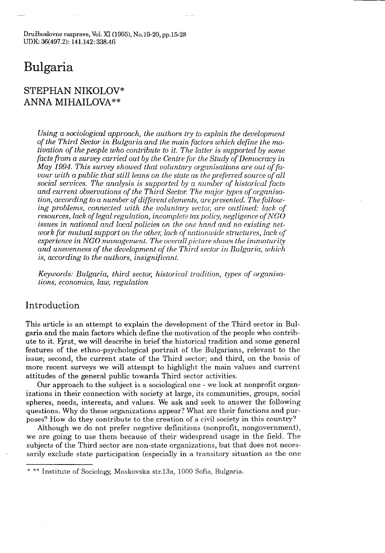Družboslovne razprave, Vol. XI (1995), No.19-20, pp.15-28 UDK: 36(497.2): 141.142: 338.46

# Bulgaria

# STEPHAN NIKOLOV\* ANNA MIHAILOVA\*\*

Using a sociological approach, the authors try to explain the development of the Third Sector in Bulgaria and the main factors which define the motivation of the people who contribute to it . The latter is supported by some facts from a survey carried out by the Centre for the Study of Democracy in May 1994. This survey showed that voluntary organisations are out of favour with a public that still leans on the state as the preferred source of all social services. The analysis is supported by a number of historical facts and current observations of the Third Sector. The major types of organisation, according to a number of different elements, are presented. The following problems, connected with the voluntary sector, are outlined: lack of resources, lack of legal regulation, incomplete tax policy, negligence of NGO issues in national and local policies on the one hand and no existing network for mutual support on the other; lack of nationwide structures, lack of experience in NGO management. The overall picture shows the immaturity and unevenness of the development of the Third sector in Bulgaria, which . is, according to the authors, insignificant.

Keywords: Bulgaria, third sector, historical tradition, types of organisations, economics, law, regulation

# Introduction

This article is an attempt to explain the development of the Third sector in Bulgaria and the main factors which define the motivation of the people who contribute to it . First, we will describe in brief the historical tradition and some general features of the ethno-psychological portrait of the Bulgarians, relevant to the issue; second, the current state of the Third sector; and third, on the basis of more recent surveys we will attempt to highlight the main values and current attitudes of the general public towards Third sector activities .

Our approach to the subject is a sociological one - we look at nonprofit organizations in their connection with society at large, its communities, groups, social spheres, needs, interests, and values . We ask and seek to answer the following questions . Why do these organizations appear? What are their functions and purposes? How do they contribute to the creation of a civil society in this country?

Although we do not prefer negative definitions (nonprofit, nongovernment), we are going to use them because of their widespread usage in the field . The subjects of the Third sector are non-state organizations, but that does not necessarily exclude state participation (especially in a transitory situation as the one

Institute of Sociology, Moskovska str.13a, 1000 Sofia, Bulgaria.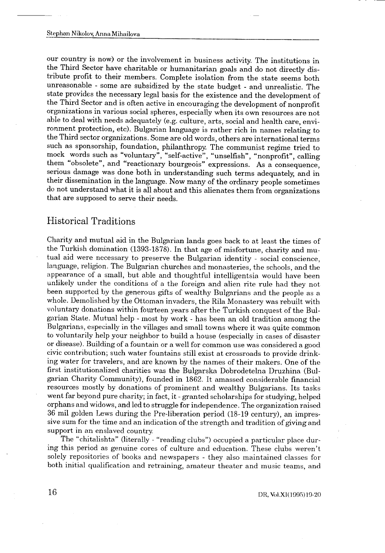our country is now) or the involvement in business activity . The institutions in the Third Sector have charitable or humanitarian goals and do not directly distribute profit to their members . Complete isolation from the state seems both unreasonable - some are subsidized by the state budget - and unrealistic . The state provides the necessary legal basis for the existence and the development of the Third Sector and is often active in encouraging the development of nonprofit organizations in various social spheres, especially when its own resources are not able to deal with needs adequately (e.g. culture, arts, social and health care, environment protection, etc). Bulgarian language is rather rich in names relating to the Third sector organizations . Some are old words, others are international terms such as sponsorship, foundation, philanthropy. The communist regime tried to mock words such as "voluntary", "self-active", "unselfish", "nonprofit", calling them "obsolete", and "reactionary bourgeois" expressions. As a consequence, serious damage was done both in understanding such terms adequately, and in their dissemination in the language . Now many of the ordinary people sometimes do not understand what it is all about and this alienates them from organizations that are supposed to serve their needs.

# Historical Traditions

Charity and mutual aid in the Bulgarian lands goes back to at least the times of the Turkish domination (1393-1878) . In that age of misfortune, charity and mutual aid were necessary to preserve the Bulgarian identity - social conscience, language, religion. The Bulgarian churches and monasteries, the schools, and the appearance of a small, but able and thoughtful intelligentsia would have been unlikely under the conditions of a the foreign and alien rite rule had they not been supported by the generous gifts of wealthy Bulgarians and the people as a whole. Demolished by the Ottoman invaders, the Rila Monastery was rebuilt with voluntary donations within fourteen years after the Turkish conquest of the Bulgarian State . Mutual help - most by work - has been an old tradition among the Bulgarians, especially in the villages and small towns where it was quite common to voluntarily help your neighbor to build a house (especially in cases of disaster or disease) . Building of a fountain or a well for common use was considered a good civic contribution; such water fountains still exist at crossroads to provide drinking water for travelers, and are known by the names of their makers . One of the first institutionalized charities was the Bulgarska Dobrodetelna Druzhina (Bulgarian Charity Community), founded in 1862 . It amassed considerable financial resources mostly by donations of prominent and wealthy Bulgarians . Its tasks went far beyond pure charity; in fact, it - granted scholarships for studying, helped orphans and widows, and led to struggle for independence . The organization raised 36 mil golden Lews during the Pre-liberation period (18-19 century), an impressive sum for the time and an indication of the strength and tradition of giving and support in an enslaved country

The "chitalishta" (literally - "reading clubs") occupied a particular place during this period as genuine cores of culture and education . These clubs weren't solely repositories of books and newspapers - they also maintained classes for both initial qualification and retraining, amateur theater and music teams, and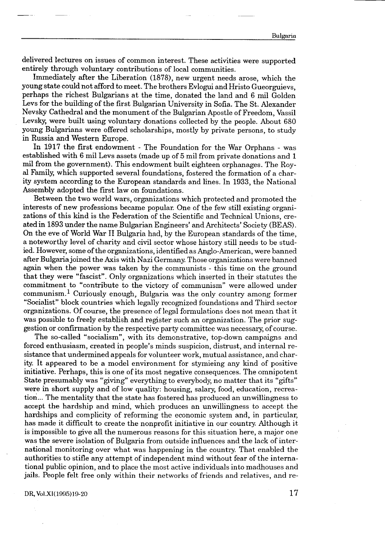delivered lectures on issues of common interest. These activities were supported entirely through voluntary contributions of local communities .

Immediately after the Liberation (1878), new urgent needs arose, which the young state could not afford to meet. The brothers Evlogui and Hristo Gueorguievs, perhaps the richest Bulgarians at the time, donated the land and 6 mil Golden Levs for the building of the first Bulgarian University in Sofia. The St. Alexander Nevsky Cathedral and the monument of the Bulgarian Apostle of Freedom, Vassil Levsky, were built using voluntary donations collected by the people . About 680 young Bulgarians were offered scholarships, mostly by private persons, to study in Russia and Western Europe.

In 1917 the first endowment - The Foundation for the War Orphans - was established with 6 mil Levs assets (made up of 5 mil from private donations and <sup>1</sup> mil from the government) . This endowment built eighteen orphanages . The Royal Family, which supported several foundations, fostered the formation of a charity system according to the European standards and lines . In 1933, the National Assembly adopted the first law on foundations.

Between the two world wars, organizations which protected and promoted the interests of new professions became popular. One of the few still existing organizations of this kind is the Federation of the Scientific and Technical Unions, created in 1893 under the name Bulgarian Engineers' and Architects' Society (BEAS) . On the eve of World War II Bulgaria had, by the European standards of the time, a noteworthy level of charity and civil sector whose history still needs to be studied. However, some of the organizations, identified as Anglo-American, were banned after Bulgaria joined the Axis with Nazi Germany. Those organizations were banned again when the power was taken by the communists - this time on the ground that they were "fascist" . Only organizations which inserted in their statutes the commitment to "contribute to the victory of communism" were allowed under communism. <sup>1</sup> Curiously enough, Bulgaria was the only country among former "Socialist" block countries which legally recognized foundations and Third sector organizations . Of course, the presence of legal formulations does not mean that it was possible to freely establish and register such an organization . The prior suggestion or confirmation by the respective party committee was necessary, of course .

The so-called "socialism", with its demonstrative, top-down campaigns and forced enthusiasm, created in people's minds suspicion, distrust, and internal resistance that undermined appeals for volunteer work, mutual assistance, and charity. It appeared to be a model environment for stymieing any kind of positive initiative . Perhaps, this is one of its most negative consequences . The omnipotent State presumably was "giving" everything to everybody, no matter that its "gifts" were in short supply and of low quality: housing, salary, food, education, recreation... The mentality that the state has fostered has produced an unwillingness to accept the hardship and mind, which produces an unwillingness to accept the hardships and complicity of reforming the economic system and, in particular, has made it difficult to create the nonprofit initiative in our country. Although it is impossible to give all the numerous reasons for this situation here, a major one was the severe isolation of Bulgaria from outside influences and the lack of international monitoring over what was happening in the country . That enabled the authorities to stifle any attempt of independent mind without fear of the international public opinion, and to place the most active individuals into madhouses and jails . People felt free only within their networks of friends and relatives, and re-

#### DR, Vol.XI(1995)19-20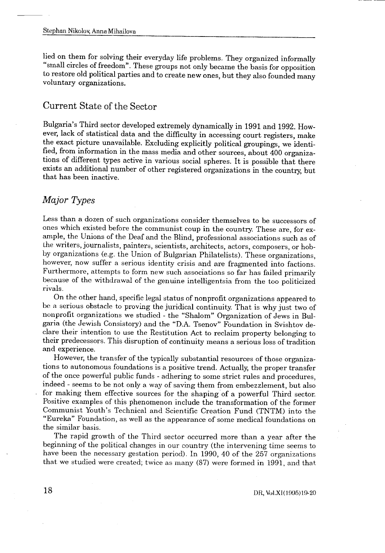lied on them for solving their everyday life problems. They organized informally "small circles of freedom". These groups not only became the basis for opposition to restore old political parties and to create new ones, but they also founded many voluntary organizations.

# Current State of the Sector

Bulgaria's Third sector developed extremely dynamically in 1991 and 1992 . However, lack of statistical data and the difficulty in accessing court registers, make the exact picture unavailable . Excluding explicitly political groupings, we identified, from information in the mass media and other sources, about 400 organizations of different types active in various social spheres . It is possible that there exists an additional number of other registered organizations in the country, but that has been inactive.

# Major Types

Less than a dozen of such organizations consider themselves to be successors of ones which existed before the communist coup in the country . These are, for example, the Unions of the Deaf and the Blind, professional associations such as of the writers, journalists, painters, scientists, architects, actors, composers, or hobby organizations (e.g. the Union of Bulgarian Philatelists). These organizations, however, now suffer a serious identity crisis and are fragmented into factions. Furthermore, attempts to form new such associations so far has failed primarily because of the withdrawal of the genuine intelligentsia from the too politicized rivals.

On the other hand, specific legal status of nonprofit organizations appeared to be a serious obstacle to proving the juridical continuity . That is why just two of nonprofit organizations we studied - the "Shalom" Organization of Jews in Bulgaria (the Jewish Consistory) and the "D.A . Tsenov" Foundation in Svishtov declare their intention to use the Restitution Act to reclaim property belonging to their predecessors . This disruption of continuity means a serious loss of tradition and experience .

However, the transfer of the typically substantial resources of those organizations to autonomous foundations is a positive trend . Actually, the proper transfer of the once powerful public funds - adhering to some strict rules and procedures, indeed - seems to be not only a way of saving them from embezzlement, but also for making them effective sources for the shaping of a powerful Third sector. Positive examples of this phenomenon include the transformation of the former Communist Youth's Technical and Scientific Creation Fund (TNTM) into the "Eureka" Foundation, as well as the appearance of some medical foundations on the similar basis.

The rapid growth of the Third sector occurred more than a year after the beginning of the political changes in our country (the intervening time seems to have been the necessary gestation period) . In 1990, 40 of the 257 organizations that we studied were created; twice as many (87) were formed in 1991, and that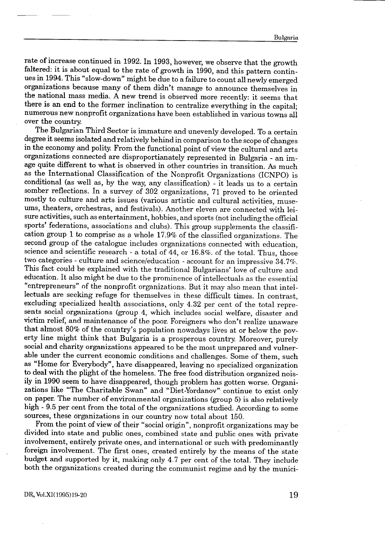rate of increase continued in 1992. In 1993, however, we observe that the growth faltered: it is about equal to the rate of growth in 1990, and this pattern continues in 1994. This "slow-down" might be due to a failure to count all newly emerged organizations because many of them didn't manage to announce themselves in the national mass media . A new trend is observed more recently: it seems that there is an end to the former inclination to centralize everything in the capital; numerous new nonprofit organizations have been established in various towns all over the country.

The Bulgarian Third Sector is immature and unevenly developed. To a certain degree it seems isolated and relatively behind in comparison to the scope of changes in the economy and polity. From the functional point of view the cultural and arts organizations connected are disproportianately represented in Bulgaria - an image quite different to what is observed in other countries in transition . As much as the International Classification of the Nonprofit Organizations (ICNPO) is conditional (as well as, by the way, any classification) - it leads us to a certain somber reflections. In a survey of 302 organizations, 71 proved to be oriented mostly to culture and arts issues (various artistic and cultural activities, museums, theaters, orchestras, and festivals) . Another eleven are connected with leisure activities, such as entertainment, hobbies, and sports (not including the official sports' federations, associations and clubs). This group supplements the classification group 1 to comprise as a whole 17.9% of the classified organizations . The second group of the catalogue includes organizations connected with education, science and scientific research - a total of 44, or 16.8%. of the total. Thus, those two categories - culture and science/education - account for an impressive 34 .7%. This fact could be explained with the traditional Bulgarians' love of culture and education. It also might be due to the prominence of intellectuals as the essential "entrepreneurs" of the nonprofit organizations . But it may also mean that intellectuals are seeking refuge for themselves in these difficult times. In contrast, excluding specialized health associations, only 4 .32 per cent of the total represents social organizations (group 4, which includes social welfare, disaster and victim relief, and maintenance of the poor. Foreigners who don't realize unaware that almost 80% of the country's population nowadays lives at or below the poverty line might think that Bulgaria is a prosperous country . Moreover, purely social and charity organizations appeared to be the most unprepared and vulnerable under the current economic conditions and challenges . Some of them, such as "Home for Everybody", have disappeared, leaving no specialized organization to deal with the plight of the homeless . The free food distribution organized noisily in 1990 seem to have disappeared, though problem has gotten worse . Organizations like "The Charitable Swan" and "Diet-Yordanov" continue to exist only on paper. The number of environmental organizations (group 5) is also relatively high - 9.5 per cent from the total of the organizations studied. According to some sources, these organizations in our country now total about 150.

From the point of view of their "social origin", nonprofit organizations may be divided into state and public ones, combined state and public ones with private involvement, entirely private ones, and international or such with predominantly foreign involvement. The first ones, created entirely by the means of the state budget and supported by it, making only 4 .7 per cent of the total . They include both the organizations created during the communist regime and by the munici-

DR, Vol.X1(1995)19-20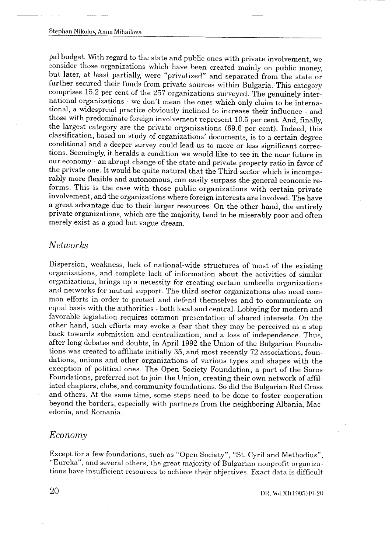pal budget . With regard to the state and public ones with private involvement, we consider those organizations which have been created mainly on public money, but later, at least partially, were "privatized" and separated from the state or further secured their funds from private sources within Bulgaria. This category comprises 15 .2 per cent of the 257 organizations surveyed . The genuinely international organizations - we don't mean the ones which only claim to be international, a widespread practice obviously inclined to increase their influence - and those with predominate foreign involvement represent 10 .5 per cent . And, finally, the largest category are the private organizations (69.6 per cent). Indeed, this classification, based on study of organizations' documents, is to a certain degree conditional and a deeper survey could lead us to more or less significant corrections . Seemingly, it heralds a condition we would like to see in the near future in our economy - an abrupt change of the state and private property ratio in favor of the private one . It would be quite natural that the Third sector which is incomparably more flexible and autonomous, can easily surpass the general economic reforms. This is the case with those public organizations with certain private involvement, and the organizations where foreign interests are involved . The have a great advantage due to their larger resources . On the other hand, the entirely private organizations, which are the majority, tend to be miserably poor and often merely exist as a good but vague dream .

#### Networks

Dispersion, weakness, lack of national-wide structures of most of the existing organizations, and complete lack of information about the activities of similar organizations, brings up a necessity for creating certain umbrella organizations and networks for mutual support. The third sector organizations also need common efforts in order to protect and defend themselves and to communicate on equal basis with the authorities - both local and central . Lobbying for modern and favorable legislation requires common presentation of shared interests . On the other hand, such efforts may evoke a fear that they may be perceived as a step back towards submission and centralization, and a loss of independence . Thus, after long debates and doubts, in April 1992 the Union of the Bulgarian Foundations was created to affiliate initially 35, and most recently 72 associations, foundations, unions and other organizations of various types and shapes with the exception of political ones . The Open Society Foundation, a part of the Soros Foundations, preferred not to join the Union, creating their own network of affiliated chapters, clubs, and community foundations . So did the Bulgarian Red Cross and others . At the same time, some steps need to be done to foster cooperation beyond the borders, especially with partners from the neighboring Albania, Macedonia, and Romania .

#### Economy

Except for a few foundations, such as "Open Society", "St. Cyril and Methodius", "Eureka", and several others, the great majority of Bulgarian nonprofit organizations have insufficient resources to achieve their objectives . Exact data is difficult

1)R, Vol .X1(1995)19-20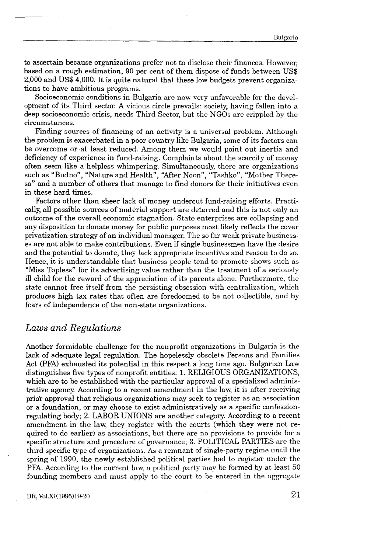to ascertain because organizations prefer not to disclose their finances . However, based on a rough estimation, 90 per cent of them dispose of funds between US\$ 2,000 and US\$ 4,000. It is quite natural that these low budgets prevent organizations to have ambitious programs .

Socioeconomic conditions in Bulgaria are now very unfavorable for the development of its Third sector . A vicious circle prevails : society, having fallen into a deep socioeconomic crisis, needs Third Sector, but the NGOs are crippled by the circumstances.

Finding sources of financing of an activity is a universal problem. Although the problem is exacerbated in a poor country like Bulgaria, some of its factors can be overcome or at least reduced . Among them we would point out inertia and deficiency of experience in fund-raising . Complaints about the scarcity of money often seem like a helpless whimpering . Simultaneously, there are organizations such as "Budno", "Nature and Health", "After Noon", "Tashko", "Mother Theresa" and a number of others that manage to find donors for their initiatives even in these hard times.

Factors other than sheer lack of money undercut fund-raising efforts . Practically, all possible sources of material support are deterred and this is not only an outcome of the overall economic stagnation . State enterprises are collapsing and any disposition to donate money for public purposes most likely reflects the cover privatization strategy of an individual manager . The so far weak private businesses are not able to make contributions . Even if single businessmen have the desire and the potential to donate, they lack appropriate incentives and reason to do so. Hence, it is understandable that business people tend to promote shows such as "Miss Topless" for its advertising value rather than the treatment of a seriously ill child for the reward of the appreciation of its parents alone . Furthermore, the state cannot free itself from the persisting obsession with centralization, which produces high tax rates that often are foredoomed to be not collectible, and by fears of independence of the non-state organizations .

### Laws and Regulations

 

Another formidable challenge for the nonprofit organizations in Bulgaria is the lack of adequate legal regulation. The hopelessly obsolete Persons and Families Act (PFA) exhausted its potential in this respect a long time ago . Bulgarian Law distinguishes five types of nonprofit entities : 1 . RELIGIOUS ORGANIZATIONS, which are to be established with the particular approval of a specialized administrative agency. According to a recent amendment in the law, it is after receiving prior approval that religious organizations may seek to register as an association or a foundation, or may choose to exist administratively as a specific confessionregulating body; 2. LABOR UNIONS are another category. According to a recent amendment in the law, they register with the courts (which they were not required to do earlier) as associations, but there are no provisions to provide for a specific structure and procedure of governance ; 3 . POLITICAL PARTIES are the third specific type of organizations . As a remnant of single-party regime until the spring of 1990, the newly established political parties had to register under the PFA. According to the current law, a political party may be formed by at least 50 founding members and must apply to the court to be entered in the aggregate

DR, Vol.XI(1995)19-20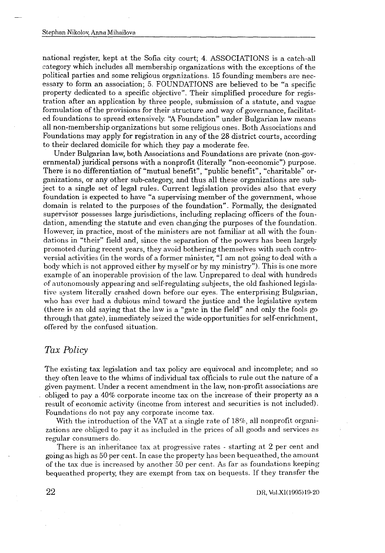national register, kept at the Sofia city court; 4. ASSOCIATIONS is a catch-all category which includes all membership organizations with the exceptions of the political parties and some religious organizations . 15 founding members are necessary to form an association; 5. FOUNDATIONS are believed to be "a specific property dedicated to a specific objective". Their simplified procedure for registration after an application by three people, submission of a statute, and vague formulation of the provisions for their structure and way of governance, facilitated foundations to spread extensively. "A Foundation" under Bulgarian law means all non-membership organizations but some religious ones . Both Associations and Foundations may apply for registration in any of the 28 district courts, according to their declared domicile for which they pay a moderate fee .

Under Bulgarian law, both Associations and Foundations are private (non-governmental) juridical persons with a nonprofit (literally "non-economic") purpose . There is no differentiation of "mutual benefit", "public benefit", "charitable" organizations, or any other sub-category, and thus all these organizations are subject to a single set of legal rules . Current legislation provides also that every foundation is expected to have "a supervising member of the government, whose domain is related to the purposes of the foundation" . Formally, the designated supervisor possesses large jurisdictions, including replacing officers of the foundation, amending the statute and even changing the purposes of the foundation . However, in practice, most of the ministers are not familiar at all with the foundations in "their" field and, since the separation of the powers has been largely promoted during recent years, they avoid bothering themselves with such controversial activities (in the words of a former minister, "I am not going to deal with a body which is not approved either by myself or by my ministry") . This is one more example of an inoperable provision of the law. Unprepared to deal with hundreds of autonomously appearing and self-regulating subjects, the old fashioned legisla tive system literally crashed down before our eyes . The enterprising Bulgarian, who has ever had a dubious mind toward the justice and the legislative system (there is an old saying that the law is a "gate in the field" and only the fools go through that gate), immediately seized the wide opportunities for self-enrichment, offered by the confused situation .

# Tax Policy

The existing tax legislation and tax policy are equivocal and incomplete; and so they often leave to the whims of individual tax officials to rule out the nature of a given payment. Under a recent amendment in the law, non-profit associations are obliged to pay a 40% corporate income tax on the increase of their property as a result of economic activity (income from interest and securities is not included) . Foundations do not pay any corporate income tax.

With the introduction of the VAT at a single rate of 18%, all nonprofit organizations are obliged to pay it as included in the prices of all goods and services as regular consumers do .

There is an inheritance tax at progressive rates - starting at 2 per cent and going as high as 50 per cent . In case the property has been bequeathed, the amount of the tax due is increased by another 50 per cent . As far as foundations keeping bequeathed property, they are exempt from tax on bequests . If they transfer the

DR, Vol.Xl(1995)19-20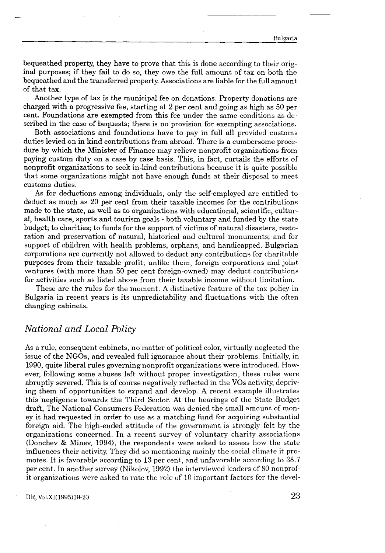bequeathed property, they have to prove that this is done according to their original purposes ; if they fail to do so, they owe the full amount of tax on both the bequeathed and the transferred property. Associations are liable for the full amount of that tax .

Another type of tax is the municipal fee on donations . Property donations are charged with a progressive fee, starting at 2 per cent and going as high as 50 per cent. Foundations are exempted from this fee under the same conditions as described in the case of bequests; there is no provision for exempting associations.

Both associations and foundations have to pay in full all provided customs duties levied on in kind contributions from abroad. There is a cumbersome procedure by which the Minister of Finance may relieve nonprofit organizations from paying custom duty on a case by case basis . This, in fact, curtails the efforts of nonprofit organizations to seek in-kind contributions because it is quite possible that some organizations might not have enough funds at their disposal to meet customs duties.

As for deductions among individuals, only the self-employed are entitled to deduct as much as 20 per cent from their taxable incomes for the contributions made to the state, as well as to organizations with educational, scientific, cultural, health care, sports and tourism goals - both voluntary and funded by the state budget; to charities; to funds for the support of victims of natural disasters, restoration and preservation of natural, historical and cultural monuments; and for support of children with health problems, orphans, and handicapped. Bulgarian corporations are currently not allowed to deduct any contributions for charitable purposes from their taxable profit; unlike them, foreign corporations and joint ventures (with more than 50 per cent foreign-owned) may deduct contributions for activities such as listed above from their taxable income without limitation .

These are the rules for the moment . A distinctive feature of the tax policy in Bulgaria in recent years is its unpredictability and fluctuations with the often changing cabinets .

### National and Local Policy

 

As a rule, consequent cabinets, no matter of political color, virtually neglected the issue of the NGOs, and revealed full ignorance about their problems . Initially, in 1990, quite liberal rules governing nonprofit organizations were introduced . However, following some abuses left without proper investigation, these rules were abruptly severed. This is of course negatively reflected in the VOs activity, depriving them of opportunities to expand and develop . A recent example illustrates this negligence towards the Third Sector. At the hearings of the State Budget draft, The National Consumers Federation was denied the small amount of money it had requested in order to use as a matching fund for acquiring substantial foreign aid . The high-ended attitude of the government is strongly felt by the organizations concerned . In a recent survey of voluntary charity associations (Donchev & Minev, 1994), the respondents were asked to assess how the state influences their activity. They did so mentioning mainly the social climate it promotes. It is favorable according to 13 per cent, and unfavorable according to 38.7 per cent . In another survey (Nikolov, 1992) the interviewed leaders of 80 nonprofit organizations were asked to rate the role of 10 important factors for the devel-

#### DR, Vol.X1(1995)19-20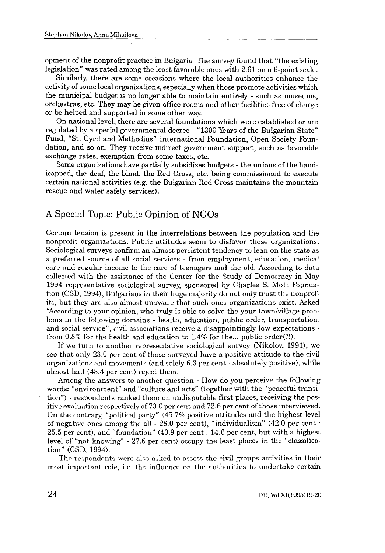—<br>Stephan Nikolov, Anna Mihailova<br>Opment of the nonprofit practice in Bulgaria. The<br>legislation" was rated among the least favorable on<br>Similarly, there are some occasions where the opment of the nonprofit practice in Bulgaria. The survey found that "the existing legislation" was rated among the least favorable ones with 2 .61 on a 6-point scale .

Similarly, there are some occasions where the local authorities enhance the activity of some local organizations, especially when those promote activities which the municipal budget is no longer able to maintain entirely - such as museums, orchestras, etc. They may be given office rooms and other facilities free of charge or be helped and supported in some other way.

On national level, there are several foundations which were established or are regulated by a special governmental decree - "1300 Years of the Bulgarian State" Fund, "St. Cyril and Methodius" International Foundation, Open Society Foundation, and so on . They receive indirect government support, such as favorable exchange rates, exemption from some taxes, etc.

Some organizations have partially subsidizes budgets - the unions of the handicapped, the deaf, the blind, the Red Cross, etc . being commissioned to execute certain national activities (e .g . the Bulgarian Red Cross maintains the mountain rescue and water safety services) .

# A Special Topic: Public Opinion of NGOs

Certain tension is present in the interrelations between the population and the nonprofit organizations. Public attitudes seem to disfavor these organizations. Sociological surveys confirm an almost persistent tendency to lean on the state as a preferred source of all social services - from employment, education, medical care and regular income to the care of teenagers and the old . According to data collected with the assistance of the Center for the Study of Democracy in May 1994 representative sociological survey, sponsored by Charles S . Mott Foundation (CSD, 1994), Bulgarians in their huge majority do not only trust the nonprofits, but they are also almost unaware that such ones organizations exist . Asked "According to your opinion, who truly is able to solve the your town/village problems in the following domains - health, education, public order, transportation, and social service", civil associations receive a disappointingly low expectations from  $0.8\%$  for the health and education to  $1.4\%$  for the ... public order(?!).

If we turn to another representative sociological survey (Nikolov, 1991), we see that only 28 .0 per cent of those surveyed have a positive attitude to the civil organizations and movements (and solely 6 .3 per cent - absolutely positive), while almost half (48.4 per cent) reject them.

Among the answers to another question - How do you perceive the following words: "environment" and "culture and arts" (together with the "peaceful transition") - respondents ranked them on undisputable first places, receiving the positive evaluation respectively of 73.0 per cent and 72.6 per cent of those interviewed. On the contrary, "political party" (45 .7% positive attitudes and the highest level of negative ones among the all  $-28.0$  per cent), "individualism" (42.0 per cent : 25.5 per cent), and "foundation" (40 .9 per cent : 14 .6 per cent, but with a highest level of "not knowing" - 27.6 per cent) occupy the least places in the "classification" (CSD, 1994).

The respondents were also asked to assess the civil groups activities in their most important role, i.e. the influence on the authorities to undertake certain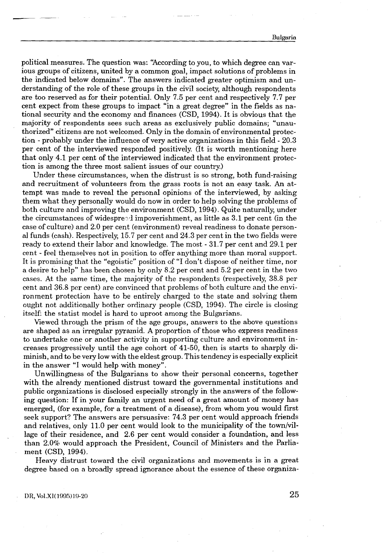political measures . The question was : "According to you, to which degree can various groups of citizens, united by a common goal, impact solutions of problems in the indicated below domains". The answers indicated greater optimism and understanding of the role of these groups in the civil society, although respondents are too reserved as for their potential . Only 7 .5 per cent and respectively 7 .7 per cent expect from these groups to impact "in a great degree" in the fields as national security and the economy and finances (CSD, 1994) . It is obvious that the majority of respondents sees such areas as exclusively public domains; "unauthorized" citizens are not welcomed . Only in the domain of environmental protection - probably under the influence of very active organizations in this field - 20.3 per cent of the interviewed responded positively . (It is worth mentioning here that only 4 .1 per cent of the interviewed indicated that the environment protection is among the three most salient issues of our country.)

Under these circumstances, when the distrust is so strong, both fund-raising and recruitment of volunteers from the grass roots is not an easy task . An attempt was made to reveal the personal opinions of the interviewed, by asking them what they personally would do now in order to help solving the problems of both culture and improving the environment (CSD, 1994) . Quite naturally, under the circumstances of widespreed impoverishment, as little as  $3.1$  per cent (in the case of culture) and 2 .0 per cent (environment) reveal readiness to donate personal funds (cash) . Respectively, 15 .7 per cent and 24 .3 per cent in the two fields were ready to extend their labor and knowledge. The most - 31.7 per cent and 29.1 per cent - feel themselves not in position to offer anything more than moral support. It is promising that the "egoistic" position of "I don't dispose of neither time, nor a desire to help" has been chosen by only 8 .2 per cent and 5 .2 per cent in the two cases . At the same time, the majority of the respondents (respectively, 38 .8 per cent and 36.8 per cent) are convinced that problems of both culture and the environment protection have to be entirely charged to the state and solving them ought not additionally bother ordinary people (CSD, 1994). The circle is closing itself: the statist model is hard to uproot among the Bulgarians.

Viewed through the prism of the age groups, answers to the above questions are shaped as an irregular pyramid . A proportion of those who express readiness to undertake one or another activity in supporting culture and environment increases progressively until the age cohort of 41-50, then is starts to sharply diminish, and to be very low with the eldest group . This tendency is especially explicit in the answer "I would help with money".

Unwillingness of the Bulgarians to show their personal concerns, together with the already mentioned distrust toward the governmental institutions and public organizations is disclosed especially strongly in the answers of the following question: If in your family an urgent need of a great amount of money has emerged, (for example, for a treatment of a disease), from whom you would first seek support? The answers are persuasive: 74 .3 per cent would approach friends and relatives, only 11.0 per cent would look to the municipality of the town/village of their residence, and 2.6 per cent would consider a foundation, and less than 2 .0% would approach the President, Council of Ministers and the Parliament (CSD, 1994).

Heavy distrust toward the civil organizations and movements is in a great degree based on a broadly spread ignorance about the essence of these organiza-

DR, Vol .Xl(1995)19-20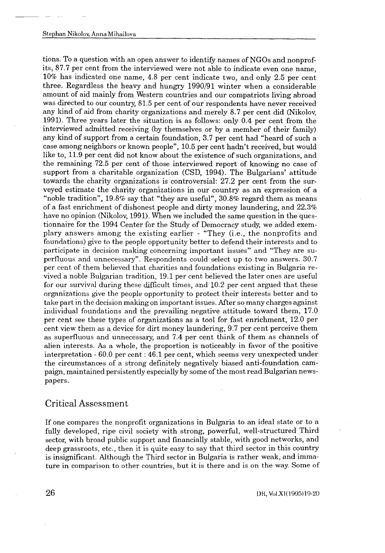tions . To a question with an open answer to identify names of NGOs and nonprofits, 87.7 per cent from the interviewed were not able to indicate even one name, 10% has indicated one name, 4 .8 per cent indicate two, and only 2 .5 per cent three. Regardless the heavy and hungry 1990/91 winter when a considerable amount of aid mainly from Western countries and our compatriots living abroad was directed to our country, 81.5 per cent of our respondents have never received any kind of aid from charity organizations and merely 8 .7 per cent did (Nikolov, 1991). Three years later the situation is as follows: only 0.4 per cent from the interviewed admitted receiving (by themselves or by a member of their family) any kind of support from a certain foundation, 3 .7 per cent had "heard of such a case among neighbors or known people", 10.5 per cent hadn't received, but would like to, 11.9 per cent did not know about the existence of such organizations, and the remaining 72 .5 per cent of those interviewed report of knowing no case of support from a charitable organization (CSD, 1994) . The Bulgarians' attitude towards the charity organizations is controversial: 27.2 per cent from the surveyed estimate the charity organizations in our country as an expression of a "noble tradition",  $19.8\%$  say that "they are useful",  $30.8\%$  regard them as means of a fast enrichment of dishonest people and dirty money laundering, and 22 .3% have no opinion (Nikolov, 1991). When we included the same question in the questionnaire for the 1994 Center for the Study of Democracy study, we added exemplary answers among the existing earlier - "They (i.e., the nonprofits and foundations) give to the people opportunity better to defend their interests and to participate in decision making concerning important issues" and "They are superfluous and unnecessary" . Respondents could select up to two answers . 30.7 per cent of them believed that charities and foundations existing in Bulgaria revived a noble Bulgarian tradition, 19 .1 per cent believed the later ones are useful for our survival during these difficult times, and 10 .2 per cent argued that these organizations give the people opportunity to protect their interests better and to take part in the decision making on important issues . After so many charges against individual foundations and the prevailing negative attitude toward them, 17 .0 per cent see these types of organizations as a tool for fast enrichment, 12.0 per cent view them as a device for dirt money laundering, 9 .7 per cent perceive them as superfluous and unnecessary, and 7 .4 per cent think of them as channels of alien interests . As a whole, the proportion is noticeably in favor of the positive interpretation - 60 .0 per cent : 46.1 per cent, which seems very unexpected under the circumstances of a strong definitely negatively biased anti-foundation campaign, maintained persistently especially by some of the most read Bulgarian newspapers.

### Critical Assessment

If one compares the nonprofit organizations in Bulgaria to an ideal state or to a fully developed, ripe civil society with strong, powerful, well-structured Third sector, with broad public support and financially stable, with good networks, and deep grassroots, etc., then it is quite easy to say that third sector in this country is insignificant . Although the Third sector in Bulgaria is rather weak, and immature in comparison to other countries, but it is there and is on the way . Some of

l) ft, Vol .XI(1995)19-20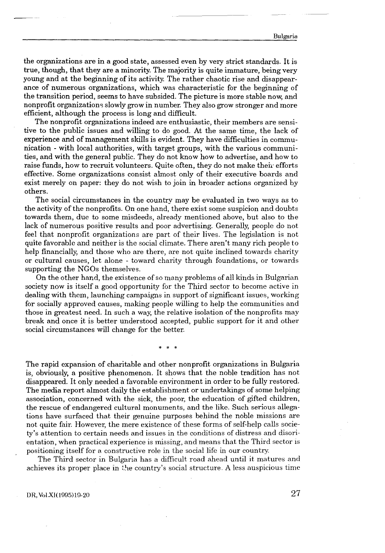the organizations are in a good state, assessed even by very strict standards . It is true, though, that they are a minority. The majority is quite immature, being very young and at the beginning of its activity. The rather chaotic rise and disappearance of numerous organizations, which was characteristic for the beginning of the transition period, seems to have subsided . The picture is more stable now, and nonprofit organizations slowly grow in number . They also grow stronger and more efficient, although the process is long and difficult.

The nonprofit organizations indeed are enthusiastic, their members are sensitive to the public issues and willing to do good . At the same time, the lack of experience and of management skills is evident . They have difficulties in communication - with local authorities, with target groups, with the various communities, and with the general public . They do not know how to advertise, and how to raise funds, how to recruit volunteers . Quite often, they do not make their- efforts effective . Some organizations consist almost only of their executive boards and exist merely on paper: they do not wish to join in broader actions organized by others.

The social circumstances in the country may be evaluated in two ways as to the activity of the nonprofits . On one hand, there exist some suspicion and doubts towards them, due to some misdeeds, already mentioned above, but also to the lack of numerous positive results and poor advertising. Generally, people do not feel that nonprofit organizations are part of their lives . The legislation is not quite favorable and neither is the social climate . There aren't many rich people to help financially, and those who are there, are not quite inclined towards charity or cultural causes, let alone - toward charity through foundations, or towards supporting the NGOs themselves.

On the other hand, the existence of so many problems of all kinds in Bulgarian society now is itself a good opportunity for the Third sector to become active in dealing with them, launching campaigns in support of significant issues, working for socially approved causes, making people willing to help the communities and those in greatest need. In such a way, the relative isolation of the nonprofits may break and once it is better understood accepted, public support for it and other social circumstances will change for the better.

 $*$  \*

The rapid expansion of charitable and other nonprofit organizations in Bulgaria is, obviously, a positive phenomenon . It shows that the noble tradition has not disappeared. It only needed a favorable environment in order to be fully restored. The media report almost daily the establishment or undertakings of some helping association, concerned with the sick, the poor, the education of gifted children, the rescue of endangered cultural monuments, and the like . Such serious allegations have surfaced that their genuine purposes behind the noble missions are not quite fair. However, the mere existence of these forms of self-help calls society's attention to certain needs and issues in the conditions of distress and disorientation, when practical experience is missing, and means that the Third sector is positioning itself for a constructive role in the social life in our country .

The Third sector in Bulgaria has a difficult road ahead until it matures and achieves its proper place in 'he country's social structure . A less auspicious time

DR, Vol .XI(1995)19-20